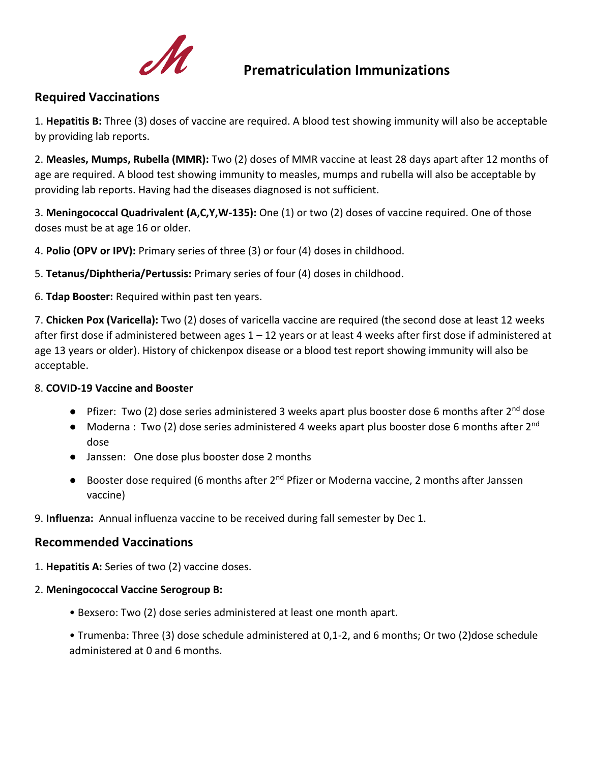

## **Prematriculation Immunizations**

## **Required Vaccinations**

1. **Hepatitis B:** Three (3) doses of vaccine are required. A blood test showing immunity will also be acceptable by providing lab reports.

2. **Measles, Mumps, Rubella (MMR):** Two (2) doses of MMR vaccine at least 28 days apart after 12 months of age are required. A blood test showing immunity to measles, mumps and rubella will also be acceptable by providing lab reports. Having had the diseases diagnosed is not sufficient.

3. **Meningococcal Quadrivalent (A,C,Y,W-135):** One (1) or two (2) doses of vaccine required. One of those doses must be at age 16 or older.

4. **Polio (OPV or IPV):** Primary series of three (3) or four (4) doses in childhood.

5. **Tetanus/Diphtheria/Pertussis:** Primary series of four (4) doses in childhood.

6. **Tdap Booster:** Required within past ten years.

7. **Chicken Pox (Varicella):** Two (2) doses of varicella vaccine are required (the second dose at least 12 weeks after first dose if administered between ages 1 – 12 years or at least 4 weeks after first dose if administered at age 13 years or older). History of chickenpox disease or a blood test report showing immunity will also be acceptable.

## 8. **COVID-19 Vaccine and Booster**

- Pfizer: Two (2) dose series administered 3 weeks apart plus booster dose 6 months after 2<sup>nd</sup> dose
- Moderna : Two (2) dose series administered 4 weeks apart plus booster dose 6 months after  $2^{nd}$ dose
- Janssen: One dose plus booster dose 2 months
- Booster dose required (6 months after 2<sup>nd</sup> Pfizer or Moderna vaccine, 2 months after Janssen vaccine)

9. **Influenza:** Annual influenza vaccine to be received during fall semester by Dec 1.

## **Recommended Vaccinations**

- 1. **Hepatitis A:** Series of two (2) vaccine doses.
- 2. **Meningococcal Vaccine Serogroup B:**
	- Bexsero: Two (2) dose series administered at least one month apart.
	- Trumenba: Three (3) dose schedule administered at 0,1-2, and 6 months; Or two (2)dose schedule administered at 0 and 6 months.